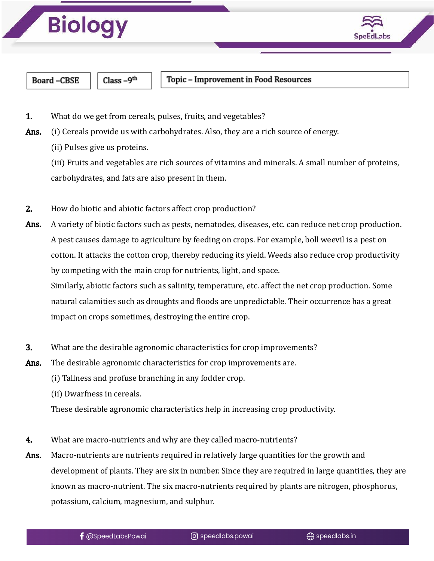



## **Board-CBSE**

Class  $-9<sup>th</sup>$ 

## Topic - Improvement in Food Resources

- **1.** What do we get from cereals, pulses, fruits, and vegetables?
- Ans. (i) Cereals provide us with carbohydrates. Also, they are a rich source of energy.
	- (ii) Pulses give us proteins.

(iii) Fruits and vegetables are rich sources of vitamins and minerals. A small number of proteins, carbohydrates, and fats are also present in them.

- 2. How do biotic and abiotic factors affect crop production?
- Ans. A variety of biotic factors such as pests, nematodes, diseases, etc. can reduce net crop production. A pest causes damage to agriculture by feeding on crops. For example, boll weevil is a pest on cotton. It attacks the cotton crop, thereby reducing its yield. Weeds also reduce crop productivity by competing with the main crop for nutrients, light, and space. Similarly, abiotic factors such as salinity, temperature, etc. affect the net crop production. Some natural calamities such as droughts and floods are unpredictable. Their occurrence has a great impact on crops sometimes, destroying the entire crop.
- 3. What are the desirable agronomic characteristics for crop improvements?
- Ans. The desirable agronomic characteristics for crop improvements are.
	- (i) Tallness and profuse branching in any fodder crop.
	- (ii) Dwarfness in cereals.
	- These desirable agronomic characteristics help in increasing crop productivity.
- 4. What are macro-nutrients and why are they called macro-nutrients?
- Ans. Macro-nutrients are nutrients required in relatively large quantities for the growth and development of plants. They are six in number. Since they are required in large quantities, they are known as macro-nutrient. The six macro-nutrients required by plants are nitrogen, phosphorus, potassium, calcium, magnesium, and sulphur.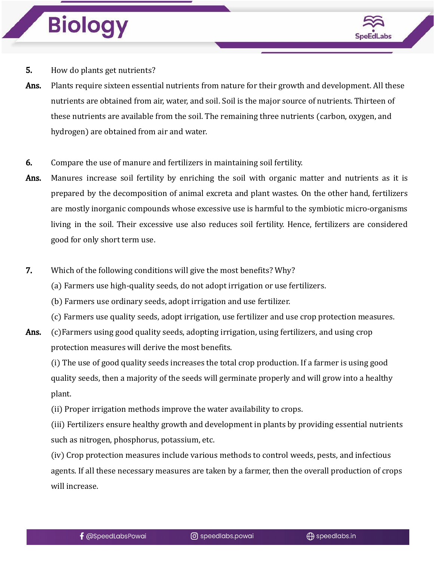## **Biology**



- 5. How do plants get nutrients?
- Ans. Plants require sixteen essential nutrients from nature for their growth and development. All these nutrients are obtained from air, water, and soil. Soil is the major source of nutrients. Thirteen of these nutrients are available from the soil. The remaining three nutrients (carbon, oxygen, and hydrogen) are obtained from air and water.
- 6. Compare the use of manure and fertilizers in maintaining soil fertility.
- Ans. Manures increase soil fertility by enriching the soil with organic matter and nutrients as it is prepared by the decomposition of animal excreta and plant wastes. On the other hand, fertilizers are mostly inorganic compounds whose excessive use is harmful to the symbiotic micro-organisms living in the soil. Their excessive use also reduces soil fertility. Hence, fertilizers are considered good for only short term use.
- 7. Which of the following conditions will give the most benefits? Why?
	- (a) Farmers use high-quality seeds, do not adopt irrigation or use fertilizers.
	- (b) Farmers use ordinary seeds, adopt irrigation and use fertilizer.
	- (c) Farmers use quality seeds, adopt irrigation, use fertilizer and use crop protection measures.
- **Ans.** (c) Farmers using good quality seeds, adopting irrigation, using fertilizers, and using crop protection measures will derive the most benefits.

(i) The use of good quality seeds increases the total crop production. If a farmer is using good quality seeds, then a majority of the seeds will germinate properly and will grow into a healthy plant.

(ii) Proper irrigation methods improve the water availability to crops.

(iii) Fertilizers ensure healthy growth and development in plants by providing essential nutrients such as nitrogen, phosphorus, potassium, etc.

(iv) Crop protection measures include various methods to control weeds, pests, and infectious agents. If all these necessary measures are taken by a farmer, then the overall production of crops will increase.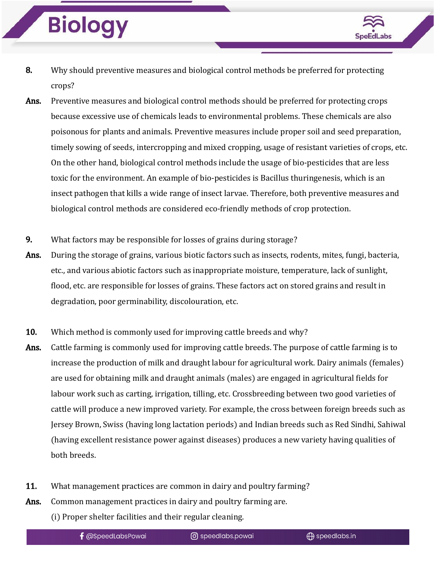## **Biology**



- 8. Why should preventive measures and biological control methods be preferred for protecting crops?
- Ans. Preventive measures and biological control methods should be preferred for protecting crops because excessive use of chemicals leads to environmental problems. These chemicals are also poisonous for plants and animals. Preventive measures include proper soil and seed preparation, timely sowing of seeds, intercropping and mixed cropping, usage of resistant varieties of crops, etc. On the other hand, biological control methods include the usage of bio-pesticides that are less toxic for the environment. An example of bio-pesticides is Bacillus thuringenesis, which is an insect pathogen that kills a wide range of insect larvae. Therefore, both preventive measures and biological control methods are considered eco-friendly methods of crop protection.
- 9. What factors may be responsible for losses of grains during storage?
- Ans. During the storage of grains, various biotic factors such as insects, rodents, mites, fungi, bacteria, etc., and various abiotic factors such as inappropriate moisture, temperature, lack of sunlight, flood, etc. are responsible for losses of grains. These factors act on stored grains and result in degradation, poor germinability, discolouration, etc.
- 10. Which method is commonly used for improving cattle breeds and why?
- Ans. Cattle farming is commonly used for improving cattle breeds. The purpose of cattle farming is to increase the production of milk and draught labour for agricultural work. Dairy animals (females) are used for obtaining milk and draught animals (males) are engaged in agricultural fields for labour work such as carting, irrigation, tilling, etc. Crossbreeding between two good varieties of cattle will produce a new improved variety. For example, the cross between foreign breeds such as Jersey Brown, Swiss (having long lactation periods) and Indian breeds such as Red Sindhi, Sahiwal (having excellent resistance power against diseases) produces a new variety having qualities of both breeds.
- 11. What management practices are common in dairy and poultry farming?
- Ans. Common management practices in dairy and poultry farming are.
	- (i) Proper shelter facilities and their regular cleaning.